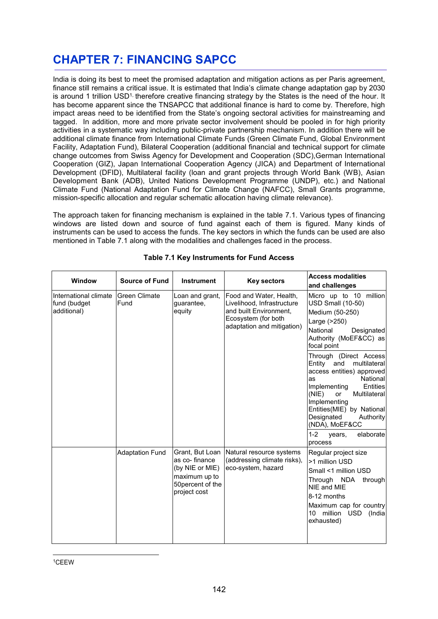# **CHAPTER 7: FINANCING SAPCC**

India is doing its best to meet the promised adaptation and mitigation actions as per Paris agreement, finance still remains a critical issue. It is estimated that India's climate change adaptation gap by 2030 is around 1 trillion USD<sup>1,</sup> therefore creative financing strategy by the States is the need of the hour. It has become apparent since the TNSAPCC that additional finance is hard to come by. Therefore, high impact areas need to be identified from the State's ongoing sectoral activities for mainstreaming and tagged. In addition, more and more private sector involvement should be pooled in for high priority activities in a systematic way including public-private partnership mechanism. In addition there will be additional climate finance from International Climate Funds (Green Climate Fund, Global Environment Facility, Adaptation Fund), Bilateral Cooperation (additional financial and technical support for climate change outcomes from Swiss Agency for Development and Cooperation (SDC),German International Cooperation (GIZ), Japan International Cooperation Agency (JICA) and Department of International Development (DFID), Multilateral facility (loan and grant projects through World Bank (WB), Asian Development Bank (ADB), United Nations Development Programme (UNDP), etc.) and National Climate Fund (National Adaptation Fund for Climate Change (NAFCC), Small Grants programme, mission-specific allocation and regular schematic allocation having climate relevance).

The approach taken for financing mechanism is explained in the table 7.1. Various types of financing windows are listed down and source of fund against each of them is figured. Many kinds of instruments can be used to access the funds. The key sectors in which the funds can be used are also mentioned in Table 7.1 along with the modalities and challenges faced in the process.

| <b>Window</b>                                        | <b>Source of Fund</b>                                                   | <b>Instrument</b>                                                                                                                    | <b>Key sectors</b>                                                                                                                                       | <b>Access modalities</b><br>and challenges                                                                                                                                                                                                                                                                          |
|------------------------------------------------------|-------------------------------------------------------------------------|--------------------------------------------------------------------------------------------------------------------------------------|----------------------------------------------------------------------------------------------------------------------------------------------------------|---------------------------------------------------------------------------------------------------------------------------------------------------------------------------------------------------------------------------------------------------------------------------------------------------------------------|
| International climate<br>fund (budget<br>additional) | <b>Green Climate</b><br>Loan and grant,<br>Fund<br>quarantee,<br>equity | Food and Water, Health,<br>Livelihood, Infrastructure<br>and built Environment.<br>Ecosystem (for both<br>adaptation and mitigation) | Micro up to 10 million<br><b>USD Small (10-50)</b><br>Medium (50-250)<br>Large (>250)<br>National<br>Designated<br>Authority (MoEF&CC) as<br>focal point |                                                                                                                                                                                                                                                                                                                     |
|                                                      |                                                                         |                                                                                                                                      |                                                                                                                                                          | Through (Direct Access<br>Entity and<br>multilateral<br>access entities) approved<br>National<br>as<br>Implementing<br><b>Entities</b><br>(NIE)<br>Multilateral<br>or<br>Implementing<br>Entities(MIE) by National<br>Designated<br><b>Authority</b><br>(NDA), MoEF&CC<br>$1 - 2$<br>elaborate<br>years,<br>process |
|                                                      | <b>Adaptation Fund</b>                                                  | Grant, But Loan<br>as co-finance<br>(by NIE or MIE)<br>maximum up to<br>50 percent of the<br>project cost                            | Natural resource systems<br>(addressing climate risks),<br>eco-system, hazard                                                                            | Regular project size<br>>1 million USD<br>Small <1 million USD<br>Through NDA<br>through<br>NIE and MIE<br>8-12 months<br>Maximum cap for country<br>10 million USD<br>(India<br>exhausted)                                                                                                                         |

### **Table 7.1 Key Instruments for Fund Access**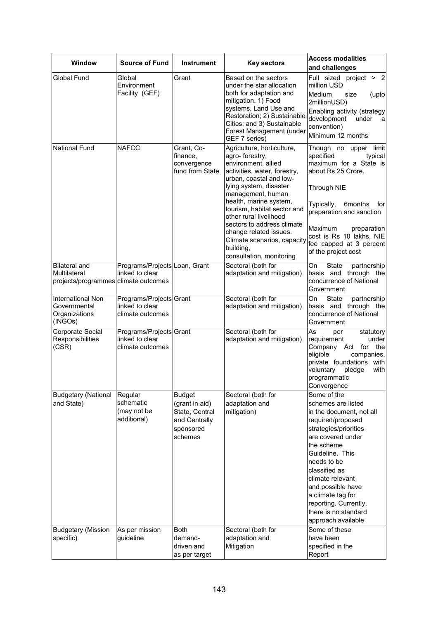| Window                                                                       | <b>Source of Fund</b>                                          | <b>Instrument</b>                                                                          | <b>Key sectors</b>                                                                                                                                                                                                                     | <b>Access modalities</b><br>and challenges                                                                                                                                                                                                                                                                                             |  |
|------------------------------------------------------------------------------|----------------------------------------------------------------|--------------------------------------------------------------------------------------------|----------------------------------------------------------------------------------------------------------------------------------------------------------------------------------------------------------------------------------------|----------------------------------------------------------------------------------------------------------------------------------------------------------------------------------------------------------------------------------------------------------------------------------------------------------------------------------------|--|
| <b>Global Fund</b>                                                           | Global<br>Environment<br>Facility (GEF)                        | Grant                                                                                      | Based on the sectors<br>under the star allocation<br>both for adaptation and<br>mitigation. 1) Food<br>systems, Land Use and<br>Restoration; 2) Sustainable<br>Cities; and 3) Sustainable<br>Forest Management (under<br>GEF 7 series) | Full sized project > 2<br>million USD<br>Medium<br>size<br>(upto<br>2millionUSD)<br>Enabling activity (strategy<br>development<br>under<br>a<br>convention)<br>Minimum 12 months                                                                                                                                                       |  |
| <b>National Fund</b>                                                         | <b>NAFCC</b>                                                   | Grant, Co-<br>finance,<br>convergence<br>fund from State                                   | Agriculture, horticulture,<br>agro-forestry,<br>environment, allied<br>activities, water, forestry,<br>urban, coastal and low-<br>lying system, disaster<br>management, human                                                          | Though no upper<br>limit<br>specified<br>typical<br>maximum for a State is<br>about Rs 25 Crore.<br><b>Through NIE</b>                                                                                                                                                                                                                 |  |
|                                                                              |                                                                |                                                                                            | health, marine system,<br>tourism, habitat sector and<br>other rural livelihood<br>sectors to address climate<br>change related issues.<br>Climate scenarios, capacity<br>building,<br>consultation, monitoring                        | Typically,<br>6months<br>for<br>preparation and sanction<br>Maximum<br>preparation<br>cost is Rs 10 lakhs, NIE<br>fee capped at 3 percent<br>of the project cost                                                                                                                                                                       |  |
| <b>Bilateral and</b><br>Multilateral<br>projects/programmes climate outcomes | Programs/Projects Loan, Grant<br>linked to clear               |                                                                                            | Sectoral (both for<br>adaptation and mitigation)                                                                                                                                                                                       | State<br>On<br>partnership<br>basis and through the<br>concurrence of National<br>Government                                                                                                                                                                                                                                           |  |
| International Non<br>Governmental<br>Organizations<br>(INGOs)                | Programs/Projects Grant<br>linked to clear<br>climate outcomes |                                                                                            | Sectoral (both for<br>adaptation and mitigation)                                                                                                                                                                                       | On<br>State<br>partnership<br>basis and through the<br>concurrence of National<br>Government                                                                                                                                                                                                                                           |  |
| Corporate Social<br>Responsibilities<br>(CSR)                                | Programs/Projects Grant<br>linked to clear<br>climate outcomes |                                                                                            | Sectoral (both for<br>adaptation and mitigation)                                                                                                                                                                                       | As<br>statutory<br>per<br>requirement<br>under<br>Company Act for<br>the<br>eligible<br>companies,<br>private foundations with<br>voluntary<br>pledge<br>with<br>programmatic<br>Convergence                                                                                                                                           |  |
| <b>Budgetary (National</b><br>and State)                                     | Regular<br>schematic<br>(may not be<br>additional)             | <b>Budget</b><br>(grant in aid)<br>State, Central<br>and Centrally<br>sponsored<br>schemes | Sectoral (both for<br>adaptation and<br>mitigation)                                                                                                                                                                                    | Some of the<br>schemes are listed<br>in the document, not all<br>required/proposed<br>strategies/priorities<br>are covered under<br>the scheme<br>Guideline. This<br>needs to be<br>classified as<br>climate relevant<br>and possible have<br>a climate tag for<br>reporting. Currently,<br>there is no standard<br>approach available |  |
| <b>Budgetary (Mission</b><br>specific)                                       | As per mission<br>guideline                                    | <b>Both</b><br>demand-<br>driven and<br>as per target                                      | Sectoral (both for<br>adaptation and<br>Mitigation                                                                                                                                                                                     | Some of these<br>have been<br>specified in the<br>Report                                                                                                                                                                                                                                                                               |  |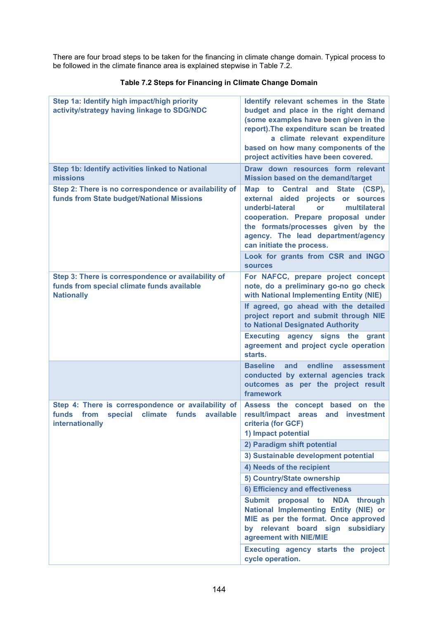There are four broad steps to be taken for the financing in climate change domain. Typical process to be followed in the climate finance area is explained stepwise in Table 7.2.

| Step 1a: Identify high impact/high priority<br>activity/strategy having linkage to SDG/NDC                                      | Identify relevant schemes in the State<br>budget and place in the right demand<br>(some examples have been given in the<br>report). The expenditure scan be treated<br>a climate relevant expenditure<br>based on how many components of the<br>project activities have been covered. |  |  |
|---------------------------------------------------------------------------------------------------------------------------------|---------------------------------------------------------------------------------------------------------------------------------------------------------------------------------------------------------------------------------------------------------------------------------------|--|--|
| <b>Step 1b: Identify activities linked to National</b>                                                                          | Draw down resources form relevant                                                                                                                                                                                                                                                     |  |  |
| missions                                                                                                                        | <b>Mission based on the demand/target</b>                                                                                                                                                                                                                                             |  |  |
| Step 2: There is no correspondence or availability of<br>funds from State budget/National Missions                              | Map to Central and State (CSP),<br>aided projects<br>external<br>or sources<br>underbi-lateral<br>multilateral<br>or<br>cooperation. Prepare proposal under<br>the formats/processes given by the<br>agency. The lead department/agency<br>can initiate the process.                  |  |  |
|                                                                                                                                 | Look for grants from CSR and INGO<br><b>sources</b>                                                                                                                                                                                                                                   |  |  |
| Step 3: There is correspondence or availability of<br>funds from special climate funds available<br><b>Nationally</b>           | For NAFCC, prepare project concept<br>note, do a preliminary go-no go check<br>with National Implementing Entity (NIE)                                                                                                                                                                |  |  |
|                                                                                                                                 | If agreed, go ahead with the detailed<br>project report and submit through NIE<br>to National Designated Authority                                                                                                                                                                    |  |  |
|                                                                                                                                 | <b>Executing</b><br>agency signs the<br>grant<br>agreement and project cycle operation<br>starts.                                                                                                                                                                                     |  |  |
|                                                                                                                                 | endline<br><b>Baseline</b><br>and<br>assessment<br>conducted by external agencies track<br>outcomes as per the project result<br>framework                                                                                                                                            |  |  |
| Step 4: There is correspondence or availability of<br>funds from<br>special<br>climate<br>funds<br>available<br>internationally | Assess the concept based<br>on the<br>result/impact areas<br>and investment<br>criteria (for GCF)<br>1) Impact potential                                                                                                                                                              |  |  |
|                                                                                                                                 | 2) Paradigm shift potential                                                                                                                                                                                                                                                           |  |  |
|                                                                                                                                 | 3) Sustainable development potential                                                                                                                                                                                                                                                  |  |  |
|                                                                                                                                 | 4) Needs of the recipient                                                                                                                                                                                                                                                             |  |  |
|                                                                                                                                 | 5) Country/State ownership                                                                                                                                                                                                                                                            |  |  |
|                                                                                                                                 | 6) Efficiency and effectiveness                                                                                                                                                                                                                                                       |  |  |
|                                                                                                                                 | <b>Submit</b><br>proposal<br>to<br><b>NDA</b><br>through<br>National Implementing Entity (NIE) or<br>MIE as per the format. Once approved<br>by relevant board sign subsidiary<br>agreement with NIE/MIE                                                                              |  |  |
|                                                                                                                                 | Executing agency starts the project<br>cycle operation.                                                                                                                                                                                                                               |  |  |

### **Table 7.2 Steps for Financing in Climate Change Domain**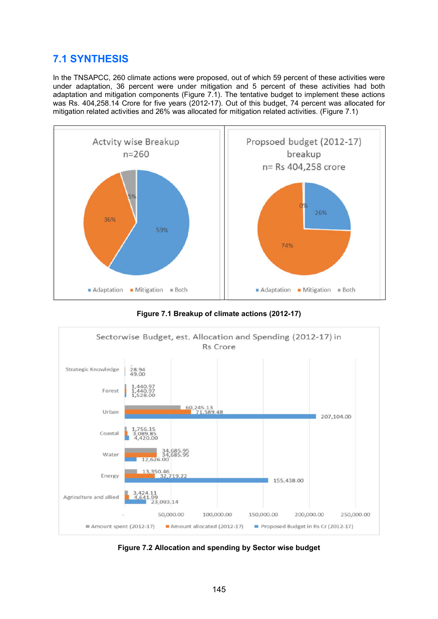# **7.1 SYNTHESIS**

In the TNSAPCC, 260 climate actions were proposed, out of which 59 percent of these activities were under adaptation, 36 percent were under mitigation and 5 percent of these activities had both adaptation and mitigation components (Figure 7.1). The tentative budget to implement these actions was Rs. 404,258.14 Crore for five years (2012-17). Out of this budget, 74 percent was allocated for mitigation related activities and 26% was allocated for mitigation related activities. (Figure 7.1)



**Figure 7.1 Breakup of climate actions (2012-17)**



**Figure 7.2 Allocation and spending by Sector wise budget**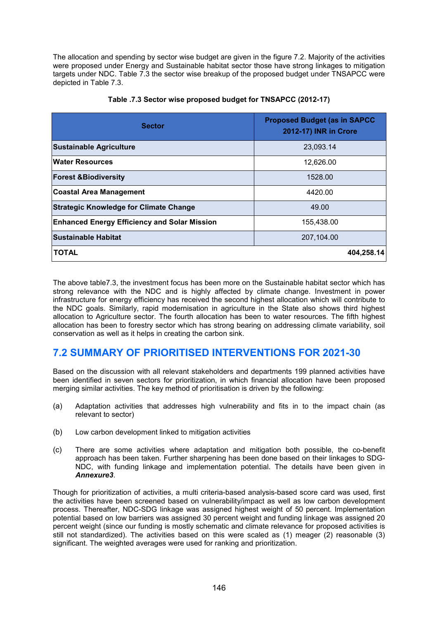The allocation and spending by sector wise budget are given in the figure 7.2. Majority of the activities were proposed under Energy and Sustainable habitat sector those have strong linkages to mitigation targets under NDC. Table 7.3 the sector wise breakup of the proposed budget under TNSAPCC were depicted in Table 7.3.

| <b>Sector</b>                                       | <b>Proposed Budget (as in SAPCC</b><br>2012-17) INR in Crore |
|-----------------------------------------------------|--------------------------------------------------------------|
| <b>Sustainable Agriculture</b>                      | 23,093.14                                                    |
| <b>Water Resources</b>                              | 12,626.00                                                    |
| <b>Forest &amp;Biodiversity</b>                     | 1528.00                                                      |
| <b>Coastal Area Management</b>                      | 4420.00                                                      |
| <b>Strategic Knowledge for Climate Change</b>       | 49.00                                                        |
| <b>Enhanced Energy Efficiency and Solar Mission</b> | 155,438.00                                                   |
| <b>Sustainable Habitat</b>                          | 207,104.00                                                   |
| <b>TOTAL</b>                                        | 404,258.14                                                   |

**Table .7.3 Sector wise proposed budget for TNSAPCC (2012-17)**

The above table7.3, the investment focus has been more on the Sustainable habitat sector which has strong relevance with the NDC and is highly affected by climate change. Investment in power infrastructure for energy efficiency has received the second highest allocation which will contribute to the NDC goals. Similarly, rapid modernisation in agriculture in the State also shows third highest allocation to Agriculture sector. The fourth allocation has been to water resources. The fifth highest allocation has been to forestry sector which has strong bearing on addressing climate variability, soil conservation as well as it helps in creating the carbon sink.

## **7.2 SUMMARY OF PRIORITISED INTERVENTIONS FOR 2021-30**

Based on the discussion with all relevant stakeholders and departments 199 planned activities have been identified in seven sectors for prioritization, in which financial allocation have been proposed merging similar activities. The key method of prioritisation is driven by the following:

- (a) Adaptation activities that addresses high vulnerability and fits in to the impact chain (as relevant to sector)
- (b) Low carbon development linked to mitigation activities
- (c) There are some activities where adaptation and mitigation both possible, the co-benefit approach has been taken. Further sharpening has been done based on their linkages to SDG-NDC, with funding linkage and implementation potential. The details have been given in *Annexure3*.

Though for prioritization of activities, a multi criteria-based analysis-based score card was used, first the activities have been screened based on vulnerability/impact as well as low carbon development process. Thereafter, NDC-SDG linkage was assigned highest weight of 50 percent. Implementation potential based on low barriers was assigned 30 percent weight and funding linkage was assigned 20 percent weight (since our funding is mostly schematic and climate relevance for proposed activities is still not standardized). The activities based on this were scaled as (1) meager (2) reasonable (3) significant. The weighted averages were used for ranking and prioritization.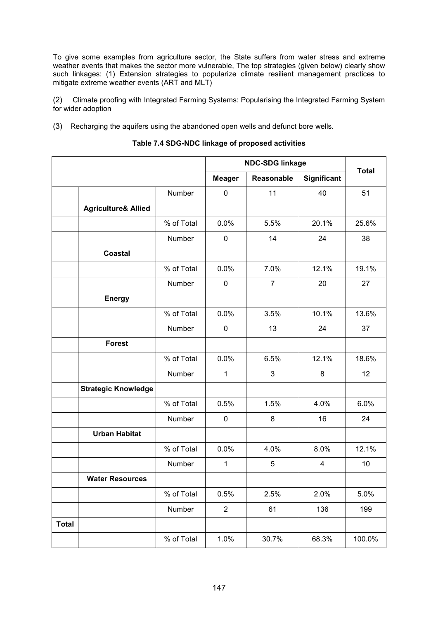To give some examples from agriculture sector, the State suffers from water stress and extreme weather events that makes the sector more vulnerable, The top strategies (given below) clearly show such linkages: (1) Extension strategies to popularize climate resilient management practices to mitigate extreme weather events (ART and MLT)

(2) Climate proofing with Integrated Farming Systems: Popularising the Integrated Farming System for wider adoption

(3) Recharging the aquifers using the abandoned open wells and defunct bore wells.

|              |                                |            | <b>NDC-SDG linkage</b> | <b>Total</b>   |             |        |
|--------------|--------------------------------|------------|------------------------|----------------|-------------|--------|
|              |                                |            | <b>Meager</b>          | Reasonable     | Significant |        |
|              |                                | Number     | $\mathbf 0$            | 11             | 40          | 51     |
|              | <b>Agriculture&amp; Allied</b> |            |                        |                |             |        |
|              |                                | % of Total | 0.0%                   | 5.5%           | 20.1%       | 25.6%  |
|              |                                | Number     | $\pmb{0}$              | 14             | 24          | 38     |
|              | <b>Coastal</b>                 |            |                        |                |             |        |
|              |                                | % of Total | 0.0%                   | 7.0%           | 12.1%       | 19.1%  |
|              |                                | Number     | $\mathbf 0$            | $\overline{7}$ | 20          | 27     |
|              | <b>Energy</b>                  |            |                        |                |             |        |
|              |                                | % of Total | 0.0%                   | 3.5%           | 10.1%       | 13.6%  |
|              |                                | Number     | $\mathbf 0$            | 13             | 24          | 37     |
|              | <b>Forest</b>                  |            |                        |                |             |        |
|              |                                | % of Total | 0.0%                   | 6.5%           | 12.1%       | 18.6%  |
|              |                                | Number     | 1                      | 3              | 8           | 12     |
|              | <b>Strategic Knowledge</b>     |            |                        |                |             |        |
|              |                                | % of Total | 0.5%                   | 1.5%           | 4.0%        | 6.0%   |
|              |                                | Number     | $\pmb{0}$              | 8              | 16          | 24     |
|              | <b>Urban Habitat</b>           |            |                        |                |             |        |
|              |                                | % of Total | 0.0%                   | 4.0%           | 8.0%        | 12.1%  |
|              |                                | Number     | $\mathbf{1}$           | 5              | 4           | 10     |
|              | <b>Water Resources</b>         |            |                        |                |             |        |
|              |                                | % of Total | 0.5%                   | 2.5%           | 2.0%        | 5.0%   |
|              |                                | Number     | $\overline{2}$         | 61             | 136         | 199    |
| <b>Total</b> |                                |            |                        |                |             |        |
|              |                                | % of Total | 1.0%                   | 30.7%          | 68.3%       | 100.0% |

#### **Table 7.4 SDG-NDC linkage of proposed activities**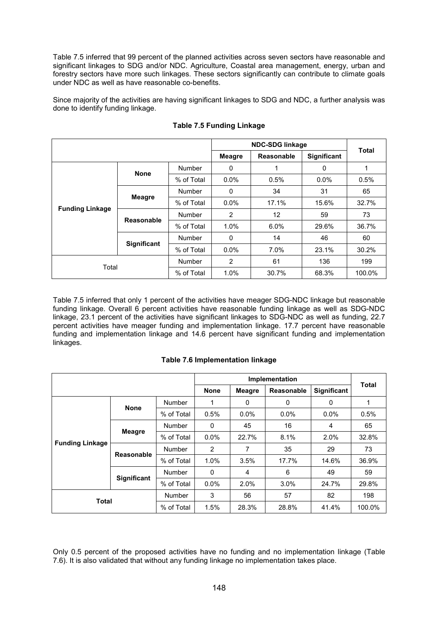Table 7.5 inferred that 99 percent of the planned activities across seven sectors have reasonable and significant linkages to SDG and/or NDC. Agriculture, Coastal area management, energy, urban and forestry sectors have more such linkages. These sectors significantly can contribute to climate goals under NDC as well as have reasonable co-benefits.

Since majority of the activities are having significant linkages to SDG and NDC, a further analysis was done to identify funding linkage.

|                        |               | <b>NDC-SDG linkage</b> | <b>Total</b>   |            |             |        |
|------------------------|---------------|------------------------|----------------|------------|-------------|--------|
|                        |               |                        | <b>Meagre</b>  | Reasonable | Significant |        |
|                        | <b>None</b>   | Number                 | 0              | 1          | 0           | 1      |
|                        |               | % of Total             | $0.0\%$        | 0.5%       | 0.0%        | 0.5%   |
| <b>Funding Linkage</b> | <b>Meagre</b> | Number                 | 0              | 34         | 31          | 65     |
|                        |               | % of Total             | $0.0\%$        | 17.1%      | 15.6%       | 32.7%  |
|                        | Reasonable    | Number                 | $\overline{2}$ | 12         | 59          | 73     |
|                        |               | % of Total             | 1.0%           | 6.0%       | 29.6%       | 36.7%  |
|                        | Significant   | Number                 | 0              | 14         | 46          | 60     |
|                        |               | % of Total             | $0.0\%$        | 7.0%       | 23.1%       | 30.2%  |
| Total                  |               | <b>Number</b>          | $\overline{2}$ | 61         | 136         | 199    |
|                        |               | % of Total             | 1.0%           | 30.7%      | 68.3%       | 100.0% |

### **Table 7.5 Funding Linkage**

Table 7.5 inferred that only 1 percent of the activities have meager SDG-NDC linkage but reasonable funding linkage. Overall 6 percent activities have reasonable funding linkage as well as SDG-NDC linkage, 23.1 percent of the activities have significant linkages to SDG-NDC as well as funding, 22.7 percent activities have meager funding and implementation linkage. 17.7 percent have reasonable funding and implementation linkage and 14.6 percent have significant funding and implementation linkages.

#### **Table 7.6 Implementation linkage**

|                        |               | <b>Total</b>  |             |               |            |             |        |
|------------------------|---------------|---------------|-------------|---------------|------------|-------------|--------|
|                        |               |               | <b>None</b> | <b>Meagre</b> | Reasonable | Significant |        |
|                        | <b>None</b>   | Number        |             | $\mathbf{0}$  | 0          | 0           | 1      |
|                        |               | % of Total    | 0.5%        | $0.0\%$       | 0.0%       | 0.0%        | 0.5%   |
| <b>Funding Linkage</b> | <b>Meagre</b> | Number        | $\Omega$    | 45            | 16         | 4           | 65     |
|                        |               | % of Total    | $0.0\%$     | 22.7%         | 8.1%       | 2.0%        | 32.8%  |
|                        | Reasonable    | Number        | 2           | 7             | 35         | 29          | 73     |
|                        |               | % of Total    | 1.0%        | 3.5%          | 17.7%      | 14.6%       | 36.9%  |
|                        | Significant   | <b>Number</b> | $\Omega$    | 4             | 6          | 49          | 59     |
|                        |               | % of Total    | 0.0%        | 2.0%          | 3.0%       | 24.7%       | 29.8%  |
| <b>Total</b>           |               | <b>Number</b> | 3           | 56            | 57         | 82          | 198    |
|                        |               | % of Total    | 1.5%        | 28.3%         | 28.8%      | 41.4%       | 100.0% |

Only 0.5 percent of the proposed activities have no funding and no implementation linkage (Table 7.6). It is also validated that without any funding linkage no implementation takes place.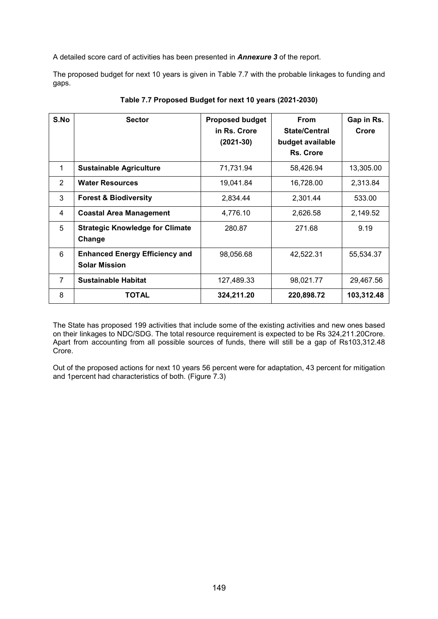A detailed score card of activities has been presented in *Annexure 3* of the report.

The proposed budget for next 10 years is given in Table 7.7 with the probable linkages to funding and gaps.

| S.No           | <b>Sector</b>                                                 | <b>Proposed budget</b><br>in Rs. Crore<br>$(2021-30)$ | <b>From</b><br><b>State/Central</b><br>budget available<br>Rs. Crore | Gap in Rs.<br>Crore |
|----------------|---------------------------------------------------------------|-------------------------------------------------------|----------------------------------------------------------------------|---------------------|
| $\mathbf{1}$   | <b>Sustainable Agriculture</b>                                | 71,731.94                                             | 58,426.94                                                            | 13,305.00           |
| 2              | <b>Water Resources</b>                                        | 19,041.84                                             | 16,728.00                                                            | 2,313.84            |
| 3              | <b>Forest &amp; Biodiversity</b>                              | 2,834.44                                              | 2,301.44                                                             | 533.00              |
| 4              | <b>Coastal Area Management</b>                                | 4,776.10                                              | 2,626.58                                                             | 2,149.52            |
| 5              | <b>Strategic Knowledge for Climate</b><br>Change              | 280.87                                                | 271.68                                                               | 9.19                |
| 6              | <b>Enhanced Energy Efficiency and</b><br><b>Solar Mission</b> | 98,056.68                                             | 42,522.31                                                            | 55,534.37           |
| $\overline{7}$ | <b>Sustainable Habitat</b>                                    | 127,489.33                                            | 98,021.77                                                            | 29,467.56           |
| 8              | <b>TOTAL</b>                                                  | 324,211.20                                            | 220,898.72                                                           | 103,312.48          |

**Table 7.7 Proposed Budget for next 10 years (2021-2030)**

The State has proposed 199 activities that include some of the existing activities and new ones based on their linkages to NDC/SDG. The total resource requirement is expected to be Rs 324,211.20 Crore. Apart from accounting from all possible sources of funds, there will still be a gap of Rs103,312.48 Crore.

Out of the proposed actions for next 10 years 56 percent were for adaptation, 43 percent for mitigation and 1percent had characteristics of both. (Figure 7.3)